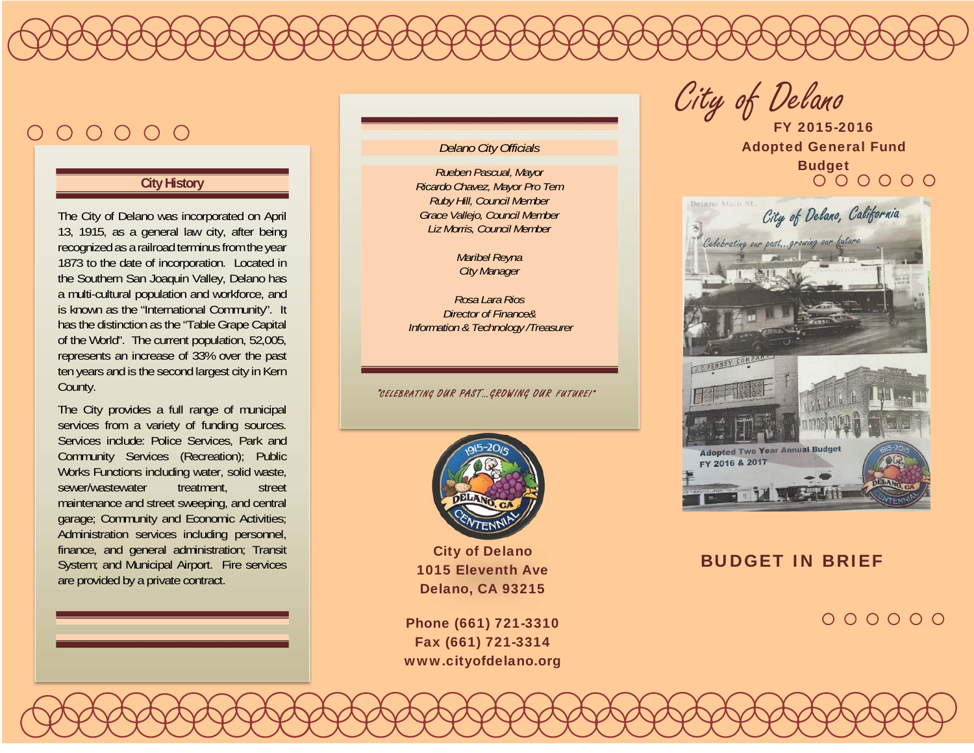# $000000$

#### **City History**

The City of Delano was incorporated on April 13, 1915, as a general law city, after being recognized as a railroad terminus from the year 1873 to the date of incorporation. Located in the Southern San Joaquin Valley, Delano has a multi-cultural population and workforce, and is known as the "International Community". It has the distinction as the "Table Grape Capital of the World". The current population, 52,005, represents an increase of 33% over the past ten years and is the second largest city in Kern County.

The City provides a full range of municipal services from a variety of funding sources. Services include: Police Services, Park and Community Services (Recreation); Public Works Functions including water, solid waste, sewer/wastewater treatment, street maintenance and street sweeping, and central garage; Community and Economic Activities; Administration services including personnel, finance, and general administration; Transit System; and Municipal Airport. Fire services are provided by a private contract.

#### *Delano City Officials*

*Rueben Pascual, Mayor Ricardo Chavez, Mayor Pro Tem Ruby Hill, Council Member Grace Vallejo, Council Member Liz Morris, Council Member* 

> *Maribel Reyna City Manager*

*Rosa Lara Rios Director of Finance& Information & Technology /Treasurer* 

"CELEBRATING OUR PAST…GROWING OUR FUTURE!"



City of Delano 1015 Eleventh Ave Delano, CA 93215

Phone (661) 721-3310 Fax (661) 721-3314 www.cityofdelano.org

City of Delano

FY 2015-2016 Adopted General Fund Budget



#### BUDGET IN BRIEF

 $000000$